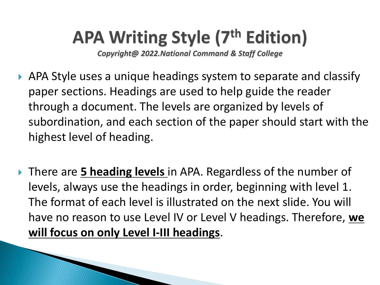## **APA Writing Style (7th Edition)**

*Copyright@ 2022.National Command & Staff College*

- APA Style uses a unique headings system to separate and classify paper sections. Headings are used to help guide the reader through a document. The levels are organized by levels of subordination, and each section of the paper should start with the highest level of heading.
- There are **5 heading levels** in APA. Regardless of the number of levels, always use the headings in order, beginning with level 1. The format of each level is illustrated on the next slide. You will have no reason to use Level IV or Level V headings. Therefore, **we will focus on only Level I-III headings**.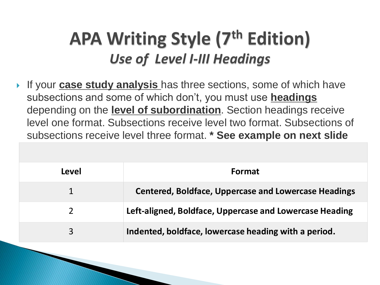### **APA Writing Style (7th Edition)** *Use of Level I-III Headings*

**If your case study analysis** has three sections, some of which have subsections and some of which don't, you must use **headings**  depending on the **level of subordination**. Section headings receive level one format. Subsections receive level two format. Subsections of subsections receive level three format. **\* See example on next slide**

| Level | <b>Format</b>                                               |
|-------|-------------------------------------------------------------|
|       | <b>Centered, Boldface, Uppercase and Lowercase Headings</b> |
|       | Left-aligned, Boldface, Uppercase and Lowercase Heading     |
| 3     | Indented, boldface, lowercase heading with a period.        |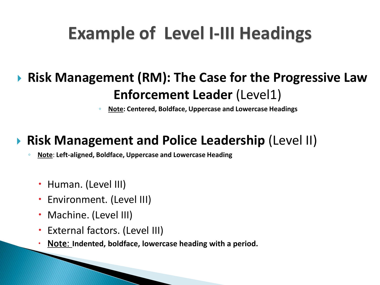## **Example of Level I-III Headings**

### **Risk Management (RM): The Case for the Progressive Law Enforcement Leader** (Level1)

◦ **Note: Centered, Boldface, Uppercase and Lowercase Headings**

### **Risk Management and Police Leadership** (Level II)

◦ **Note**: **Left-aligned, Boldface, Uppercase and Lowercase Heading**

- Human. (Level III)
- Environment. (Level III)
- Machine. (Level III)
- External factors. (Level III)
- Note: **Indented, boldface, lowercase heading with a period.**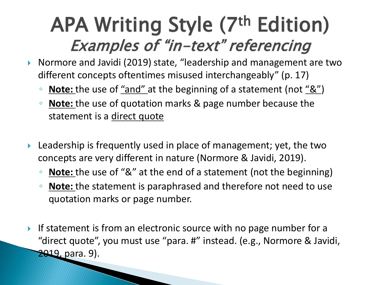# APA Writing Style (7th Edition) Examples of "in-text" referencing

- ▶ Normore and Javidi (2019) state, "leadership and management are two different concepts oftentimes misused interchangeably" (p. 17)
	- **Note:** the use of "and" at the beginning of a statement (not "&")
	- **Note:** the use of quotation marks & page number because the statement is a direct quote
- Leadership is frequently used in place of management; yet, the two concepts are very different in nature (Normore & Javidi, 2019).
	- **Note:** the use of "&" at the end of a statement (not the beginning)
	- **Note:** the statement is paraphrased and therefore not need to use quotation marks or page number.
- If statement is from an electronic source with no page number for a "direct quote", you must use "para. #" instead. (e.g., Normore & Javidi, 2019, para. 9).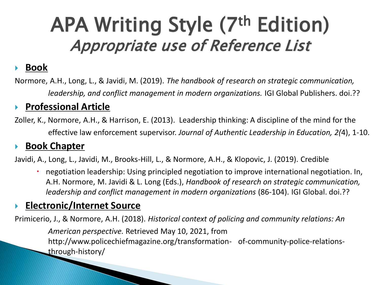# APA Writing Style (7th Edition) Appropriate use of Reference List

#### **Book**

Normore, A.H., Long, L., & Javidi, M. (2019). *The handbook of research on strategic communication, leadership, and conflict management in modern organizations.* IGI Global Publishers. doi.??

#### **Professional Article**

Zoller, K., Normore, A.H., & Harrison, E. (2013). Leadership thinking: A discipline of the mind for the effective law enforcement supervisor. *Journal of Authentic Leadership in Education, 2(*4), 1-10.

#### **Book Chapter**

Javidi, A., Long, L., Javidi, M., Brooks-Hill, L., & Normore, A.H., & Klopovic, J. (2019). Credible

 negotiation leadership: Using principled negotiation to improve international negotiation. In, A.H. Normore, M. Javidi & L. Long (Eds.), *Handbook of research on strategic communication, leadership and conflict management in modern organizations* (86-104). IGI Global. doi.??

#### **Electronic/Internet Source**

Primicerio, J., & Normore, A.H. (2018). *Historical context of policing and community relations: An American perspective.* Retrieved May 10, 2021, from http://www.policechiefmagazine.org/transformation- of-community-police-relationsthrough-history/